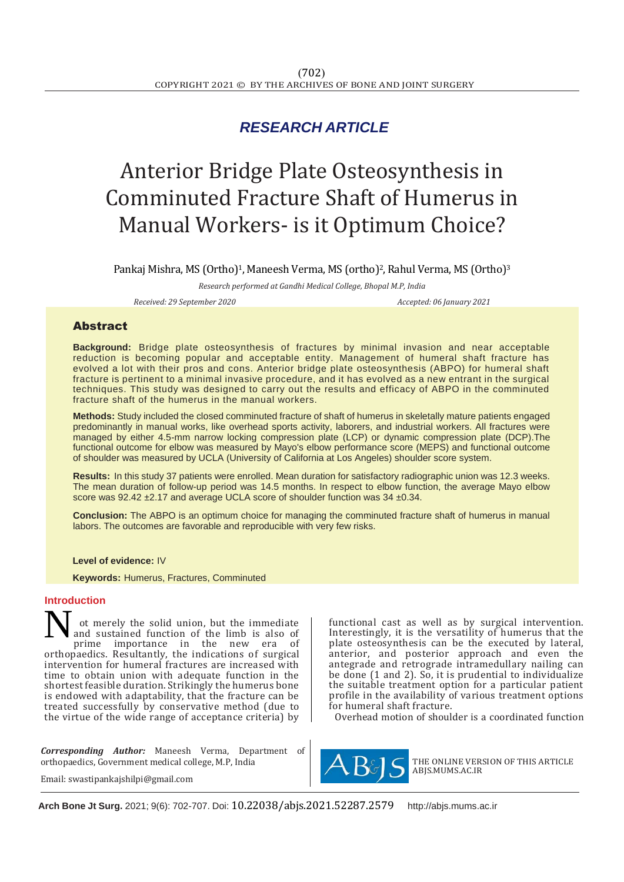## *RESEARCH ARTICLE*

# Anterior Bridge Plate Osteosynthesis in Comminuted Fracture Shaft of Humerus in Manual Workers- is it Optimum Choice?

Pankaj Mishra, MS (Ortho)<sup>1</sup>, Maneesh Verma, MS (ortho)<sup>2</sup>, Rahul Verma, MS (Ortho)<sup>3</sup>

*Research performed at Gandhi Medical College, Bhopal M.P, India*

*Received: 29 September 2020 Accepted: 06 January 2021*

### Abstract

**Background:** Bridge plate osteosynthesis of fractures by minimal invasion and near acceptable reduction is becoming popular and acceptable entity. Management of humeral shaft fracture has evolved a lot with their pros and cons. Anterior bridge plate osteosynthesis (ABPO) for humeral shaft fracture is pertinent to a minimal invasive procedure, and it has evolved as a new entrant in the surgical techniques. This study was designed to carry out the results and efficacy of ABPO in the comminuted fracture shaft of the humerus in the manual workers.

**Methods:** Study included the closed comminuted fracture of shaft of humerus in skeletally mature patients engaged predominantly in manual works, like overhead sports activity, laborers, and industrial workers. All fractures were managed by either 4.5-mm narrow locking compression plate (LCP) or dynamic compression plate (DCP).The functional outcome for elbow was measured by Mayo's elbow performance score (MEPS) and functional outcome of shoulder was measured by UCLA (University of California at Los Angeles) shoulder score system.

**Results:** In this study 37 patients were enrolled. Mean duration for satisfactory radiographic union was 12.3 weeks. The mean duration of follow-up period was 14.5 months. In respect to elbow function, the average Mayo elbow score was  $92.42 \pm 2.17$  and average UCLA score of shoulder function was  $34 \pm 0.34$ .

**Conclusion:** The ABPO is an optimum choice for managing the comminuted fracture shaft of humerus in manual labors. The outcomes are favorable and reproducible with very few risks.

#### **Level of evidence:** IV

 **Keywords:** Humerus, Fractures, Comminuted

#### **Introduction**

ot merely the solid union, but the immediate and sustained function of the limb is also of prime importance in the new era of orthopaedics. Resultantly, the indications of surgical intervention for humeral fractures are increased with time to obtain union with adequate function in the shortest feasible duration. Strikingly the humerus bone is endowed with adaptability, that the fracture can be treated successfully by conservative method (due to the virtue of the wide range of acceptance criteria) by N

*Corresponding Author:* Maneesh Verma, Department of orthopaedics, Government medical college, M.P, India

Email: swastipankajshilpi@gmail.com

functional cast as well as by surgical intervention. Interestingly, it is the versatility of humerus that the plate osteosynthesis can be the executed by lateral, anterior, and posterior approach and even the antegrade and retrograde intramedullary nailing can be done  $(1 \text{ and } 2)$ . So, it is prudential to individualize the suitable treatment option for a particular patient profile in the availability of various treatment options for humeral shaft fracture.

Overhead motion of shoulder is a coordinated function



THE ONLINE VERSION OF THIS ARTICLE ABJS.MUMS.AC.IR

**Arch Bone Jt Surg.** 2021; 9(6): 702-707. Doi: 10.22038/abjs.2021.52287.2579 [http://abjs.mums.ac.ir](http://abjs.mums.ac.ir/)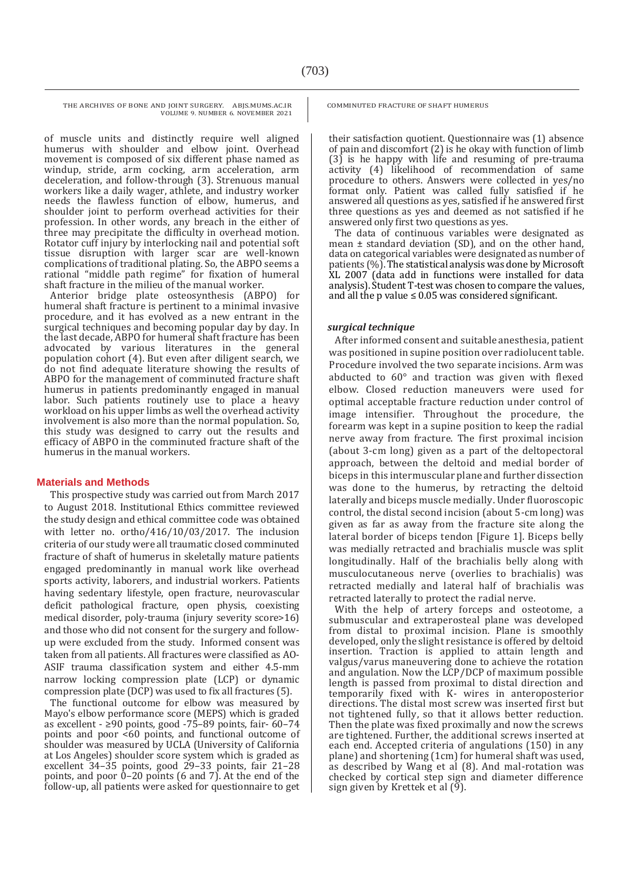THE ARCHIVES OF BONE AND JOINT SURGERY. ABJS.MUMS.AC.IR VOLUME 9. NUMBER 6. NOVEMBER 2021

of muscle units and distinctly require well aligned humerus with shoulder and elbow joint. Overhead movement is composed of six different phase named as windup, stride, arm cocking, arm acceleration, arm deceleration, and follow-through (3). Strenuous manual workers like a daily wager, athlete, and industry worker needs the flawless function of elbow, humerus, and shoulder joint to perform overhead activities for their profession. In other words, any breach in the either of three may precipitate the difficulty in overhead motion. Rotator cuff injury by interlocking nail and potential soft tissue disruption with larger scar are well-known complications of traditional plating. So, the ABPO seems a rational "middle path regime" for fixation of humeral shaft fracture in the milieu of the manual worker.

Anterior bridge plate osteosynthesis (ABPO) for humeral shaft fracture is pertinent to a minimal invasive procedure, and it has evolved as a new entrant in the surgical techniques and becoming popular day by day. In the last decade, ABPO for humeral shaft fracture has been advocated by various literatures in the general population cohort (4). But even after diligent search, we do not find adequate literature showing the results of ABPO for the management of comminuted fracture shaft humerus in patients predominantly engaged in manual labor. Such patients routinely use to place a heavy workload on his upper limbs as well the overhead activity involvement is also more than the normal population. So, this study was designed to carry out the results and efficacy of ABPO in the comminuted fracture shaft of the humerus in the manual workers.

#### **Materials and Methods**

This prospective study was carried out from March 2017 to August 2018. Institutional Ethics committee reviewed the study design and ethical committee code was obtained with letter no. ortho/416/10/03/2017. The inclusion criteria of our study were all traumatic closed comminuted fracture of shaft of humerus in skeletally mature patients engaged predominantly in manual work like overhead sports activity, laborers, and industrial workers. Patients having sedentary lifestyle, open fracture, neurovascular deficit pathological fracture, open physis, coexisting medical disorder, poly-trauma (injury severity score>16) and those who did not consent for the surgery and followup were excluded from the study. Informed consent was taken from all patients. All fractures were classified as AO-ASIF trauma classification system and either 4.5-mm narrow locking compression plate (LCP) or dynamic compression plate (DCP) was used to fix all fractures (5).

The functional outcome for elbow was measured by Mayo's elbow performance score (MEPS) which is graded as excellent - ≥90 points, good -75–89 points, fair- 60–74 points and poor <60 points, and functional outcome of shoulder was measured by UCLA (University of California at Los Angeles) shoulder score system which is graded as excellent 34–35 points, good 29–33 points, fair 21–28 points, and poor  $0-20$  points (6 and 7). At the end of the follow-up, all patients were asked for questionnaire to get COMMINUTED FRACTURE OF SHAFT HUMERUS

their satisfaction quotient. Questionnaire was (1) absence of pain and discomfort (2) is he okay with function of limb (3) is he happy with life and resuming of pre-trauma activity (4) likelihood of recommendation of same procedure to others. Answers were collected in yes/no format only. Patient was called fully satisfied if he answered all questions as yes, satisfied if he answered first three questions as yes and deemed as not satisfied if he answered only first two questions as yes.

The data of continuous variables were designated as mean  $\pm$  standard deviation (SD), and on the other hand, data on categorical variables were designated as number of patients (%). The statistical analysis was done by Microsoft XL 2007 (data add in functions were installed for data analysis). Student T-test was chosen to compare the values, and all the p value  $\leq 0.05$  was considered significant.

#### *surgical technique*

After informed consent and suitable anesthesia, patient was positioned in supine position over radiolucent table. Procedure involved the two separate incisions. Arm was abducted to 60° and traction was given with flexed elbow. Closed reduction maneuvers were used for optimal acceptable fracture reduction under control of image intensifier. Throughout the procedure, the forearm was kept in a supine position to keep the radial nerve away from fracture. The first proximal incision (about 3-cm long) given as a part of the deltopectoral approach, between the deltoid and medial border of biceps in this intermuscular plane and further dissection was done to the humerus, by retracting the deltoid laterally and biceps muscle medially. Under fluoroscopic control, the distal second incision (about 5-cm long) was given as far as away from the fracture site along the lateral border of biceps tendon [Figure 1]. Biceps belly was medially retracted and brachialis muscle was split longitudinally. Half of the brachialis belly along with musculocutaneous nerve (overlies to brachialis) was retracted medially and lateral half of brachialis was retracted laterally to protect the radial nerve.

With the help of artery forceps and osteotome, a submuscular and extraperosteal plane was developed from distal to proximal incision. Plane is smoothly developed, only the slight resistance is offered by deltoid insertion. Traction is applied to attain length and valgus/varus maneuvering done to achieve the rotation and angulation. Now the LCP/DCP of maximum possible length is passed from proximal to distal direction and temporarily fixed with K- wires in anteroposterior directions. The distal most screw was inserted first but not tightened fully, so that it allows better reduction. Then the plate was fixed proximally and now the screws are tightened. Further, the additional screws inserted at each end. Accepted criteria of angulations (150) in any plane) and shortening (1cm) for humeral shaft was used, as described by Wang et al (8). And mal-rotation was checked by cortical step sign and diameter difference sign given by Krettek et al (9).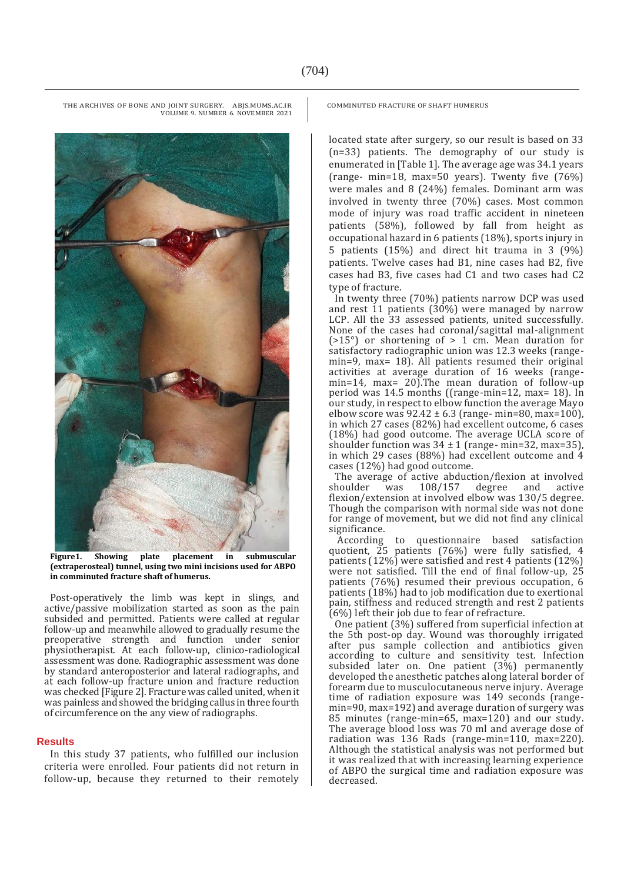COMMINUTED FRACTURE OF SHAFT HUMERUS

located state after surgery, so our result is based on 33 (n=33) patients. The demography of our study is enumerated in [Table 1]. The average age was 34.1 years (range- min=18, max=50 years). Twenty five (76%) were males and 8 (24%) females. Dominant arm was involved in twenty three (70%) cases. Most common mode of injury was road traffic accident in nineteen patients (58%), followed by fall from height as occupational hazard in 6 patients (18%), sports injury in 5 patients (15%) and direct hit trauma in 3 (9%) patients. Twelve cases had B1, nine cases had B2, five cases had B3, five cases had C1 and two cases had C2 type of fracture.

In twenty three (70%) patients narrow DCP was used and rest  $11$  patients ( $30\%$ ) were managed by narrow LCP. All the 33 assessed patients, united successfully. None of the cases had coronal/sagittal mal-alignment  $($ >15°) or shortening of > 1 cm. Mean duration for satisfactory radiographic union was 12.3 weeks (rangemin=9, max= 18). All patients resumed their original activities at average duration of 16 weeks (rangemin=14, max= 20). The mean duration of follow-up period was 14.5 months ((range-min=12, max= 18). In our study, in respect to elbow function the average Mayo elbow score was  $92.42 \pm 6.3$  (range- min=80, max=100), in which 27 cases (82%) had excellent outcome, 6 cases (18%) had good outcome. The average UCLA score of shoulder function was  $34 \pm 1$  (range- min=32, max=35), in which 29 cases (88%) had excellent outcome and 4 cases (12%) had good outcome.

The average of active abduction/flexion at involved<br>shoulder vas 108/157 degree and active was  $108/157$  degree and active flexion/extension at involved elbow was 130/5 degree. Though the comparison with normal side was not done for range of movement, but we did not find any clinical significance.

According to questionnaire based satisfaction quotient, 25 patients (76%) were fully satisfied, 4 patients (12%) were satisfied and rest 4 patients (12%) were not satisfied. Till the end of final follow-up, 25 patients (76%) resumed their previous occupation, 6 patients (18%) had to job modification due to exertional pain, stiffness and reduced strength and rest 2 patients (6%) left their job due to fear of refracture.

One patient (3%) suffered from superficial infection at the 5th post-op day. Wound was thoroughly irrigated after pus sample collection and antibiotics given according to culture and sensitivity test. Infection subsided later on. One patient (3%) permanently developed the anesthetic patches along lateral border of forearm due to musculocutaneous nerve injury. Average time of radiation exposure was 149 seconds (rangemin=90, max=192) and average duration of surgery was 85 minutes (range-min=65, max=120) and our study. The average blood loss was 70 ml and average dose of radiation was 136 Rads (range-min=110, max=220). Although the statistical analysis was not performed but it was realized that with increasing learning experience of ABPO the surgical time and radiation exposure was decreased.

THE ARCHIVES OF BONE AND JOINT SURGERY. ABJS.MUMS.AC.IR VOLUME 9. NUMBER 6. NOVEMBER 2021

**Figure1. Showing plate placement in submuscular (extraperosteal) tunnel, using two mini incisions used for ABPO in comminuted fracture shaft of humerus.** 

Post-operatively the limb was kept in slings, and active/passive mobilization started as soon as the pain subsided and permitted. Patients were called at regular follow-up and meanwhile allowed to gradually resume the preoperative strength and function under senior physiotherapist. At each follow-up, clinico-radiological assessment was done. Radiographic assessment was done by standard anteroposterior and lateral radiographs, and at each follow-up fracture union and fracture reduction was checked [Figure 2]. Fracture was called united, when it was painless and showed the bridging callus in three fourth of circumference on the any view of radiographs.

#### **Results**

In this study 37 patients, who fulfilled our inclusion criteria were enrolled. Four patients did not return in follow-up, because they returned to their remotely

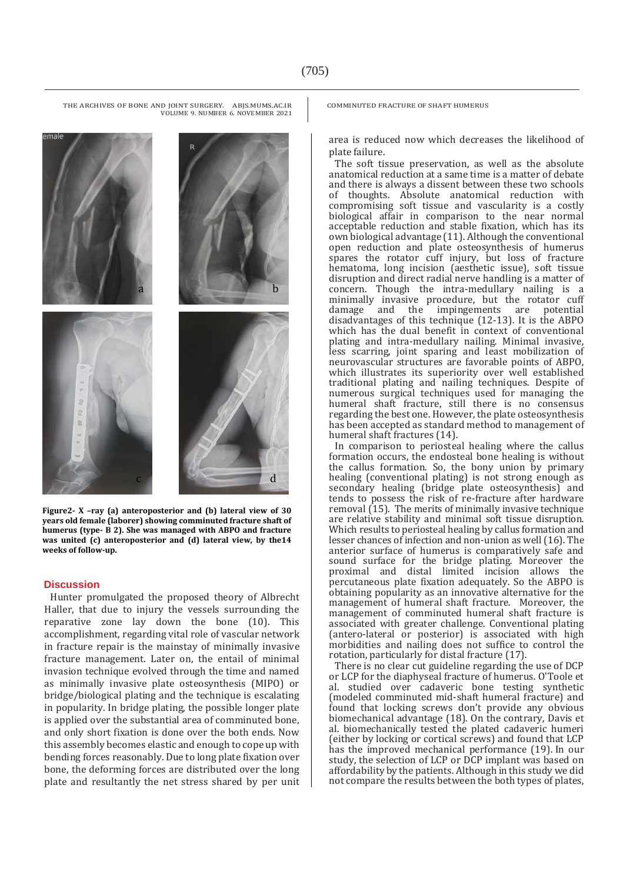emalı a b c d

**Figure2- X –ray (a) anteroposterior and (b) lateral view of 30 years old female (laborer) showing comminuted fracture shaft of humerus (type- B 2). She was managed with ABPO and fracture was united (c) anteroposterior and (d) lateral view, by the14 weeks of follow-up.** 

#### **Discussion**

Hunter promulgated the proposed theory of Albrecht Haller, that due to injury the vessels surrounding the reparative zone lay down the bone (10). This accomplishment, regarding vital role of vascular network in fracture repair is the mainstay of minimally invasive fracture management. Later on, the entail of minimal invasion technique evolved through the time and named as minimally invasive plate osteosynthesis (MIPO) or bridge/biological plating and the technique is escalating in popularity. In bridge plating, the possible longer plate is applied over the substantial area of comminuted bone, and only short fixation is done over the both ends. Now this assembly becomes elastic and enough to cope up with bending forces reasonably. Due to long plate fixation over bone, the deforming forces are distributed over the long plate and resultantly the net stress shared by per unit COMMINUTED FRACTURE OF SHAFT HUMERUS

area is reduced now which decreases the likelihood of plate failure.

The soft tissue preservation, as well as the absolute anatomical reduction at a same time is a matter of debate and there is always a dissent between these two schools of thoughts. Absolute anatomical reduction with compromising soft tissue and vascularity is a costly biological affair in comparison to the near normal acceptable reduction and stable fixation, which has its own biological advantage (11). Although the conventional open reduction and plate osteosynthesis of humerus spares the rotator cuff injury, but loss of fracture hematoma, long incision (aesthetic issue), soft tissue disruption and direct radial nerve handling is a matter of concern. Though the intra-medullary nailing is a minimally invasive procedure, but the rotator cuff damage and the impingements are potential disadvantages of this technique (12-13). It is the ABPO which has the dual benefit in context of conventional plating and intra-medullary nailing. Minimal invasive, less scarring, joint sparing and least mobilization of neurovascular structures are favorable points of ABPO, which illustrates its superiority over well established traditional plating and nailing techniques. Despite of numerous surgical techniques used for managing the humeral shaft fracture, still there is no consensus regarding the best one. However, the plate osteosynthesis has been accepted as standard method to management of humeral shaft fractures (14).

In comparison to periosteal healing where the callus formation occurs, the endosteal bone healing is without the callus formation. So, the bony union by primary healing (conventional plating) is not strong enough as secondary healing (bridge plate osteosynthesis) and tends to possess the risk of re-fracture after hardware removal  $(15)$ . The merits of minimally invasive technique are relative stability and minimal soft tissue disruption. Which results to periosteal healing by callus formation and lesser chances of infection and non-union as well (16). The anterior surface of humerus is comparatively safe and sound surface for the bridge plating. Moreover the proximal and distal limited incision allows the percutaneous plate fixation adequately. So the ABPO is obtaining popularity as an innovative alternative for the management of humeral shaft fracture. Moreover, the management of comminuted humeral shaft fracture is associated with greater challenge. Conventional plating (antero-lateral or posterior) is associated with high morbidities and nailing does not suffice to control the rotation, particularly for distal fracture (17).

There is no clear cut guideline regarding the use of DCP or LCP for the diaphyseal fracture of humerus. O'Toole et al. studied over cadaveric bone testing synthetic (modeled comminuted mid-shaft humeral fracture) and found that locking screws don't provide any obvious biomechanical advantage (18). On the contrary, Davis et al. biomechanically tested the plated cadaveric humeri (either by locking or cortical screws) and found that LCP has the improved mechanical performance (19). In our study, the selection of LCP or DCP implant was based on affordability by the patients. Although in this study we did not compare the results between the both types of plates,

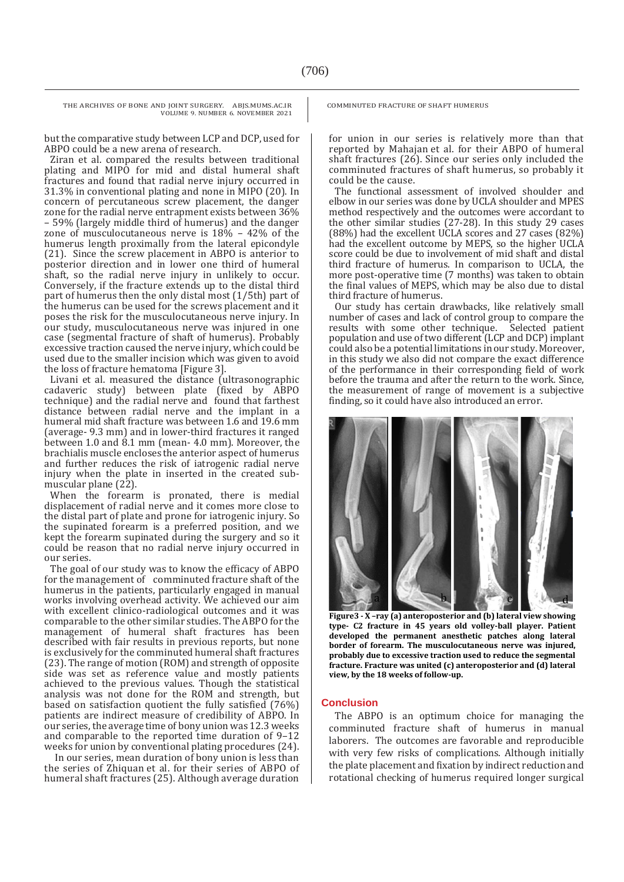THE ARCHIVES OF BONE AND JOINT SURGERY. ABJS.MUMS.AC.IR VOLUME 9. NUMBER 6. NOVEMBER 2021

but the comparative study between LCP and DCP, used for ABPO could be a new arena of research.

Ziran et al. compared the results between traditional plating and MIPO for mid and distal humeral shaft fractures and found that radial nerve injury occurred in 31.3% in conventional plating and none in MIPO (20). In concern of percutaneous screw placement, the danger zone for the radial nerve entrapment exists between 36% – 59% (largely middle third of humerus) and the danger zone of musculocutaneous nerve is 18% – 42% of the humerus length proximally from the lateral epicondyle (21). Since the screw placement in ABPO is anterior to posterior direction and in lower one third of humeral shaft, so the radial nerve injury in unlikely to occur. Conversely, if the fracture extends up to the distal third part of humerus then the only distal most (1/5th) part of the humerus can be used for the screws placement and it poses the risk for the musculocutaneous nerve injury. In our study, musculocutaneous nerve was injured in one case (segmental fracture of shaft of humerus). Probably excessive traction caused the nerve injury, which could be used due to the smaller incision which was given to avoid the loss of fracture hematoma [Figure 3].

Livani et al. measured the distance (ultrasonographic cadaveric study) between plate (fixed by ABPO technique) and the radial nerve and found that farthest distance between radial nerve and the implant in a humeral mid shaft fracture was between 1.6 and 19.6 mm (average- 9.3 mm) and in lower-third fractures it ranged between 1.0 and 8.1 mm (mean- 4.0 mm). Moreover, the brachialis muscle encloses the anterior aspect of humerus and further reduces the risk of iatrogenic radial nerve injury when the plate in inserted in the created submuscular plane (22).

When the forearm is pronated, there is medial displacement of radial nerve and it comes more close to the distal part of plate and prone for iatrogenic injury. So the supinated forearm is a preferred position, and we kept the forearm supinated during the surgery and so it could be reason that no radial nerve injury occurred in our series.

The goal of our study was to know the efficacy of ABPO for the management of comminuted fracture shaft of the humerus in the patients, particularly engaged in manual works involving overhead activity. We achieved our aim with excellent clinico-radiological outcomes and it was comparable to the other similar studies. The ABPO for the management of humeral shaft fractures has been described with fair results in previous reports, but none is exclusively for the comminuted humeral shaft fractures (23). The range of motion (ROM) and strength of opposite side was set as reference value and mostly patients achieved to the previous values. Though the statistical analysis was not done for the ROM and strength, but based on satisfaction quotient the fully satisfied (76%) patients are indirect measure of credibility of ABPO. In our series, the average time of bony union was 12.3 weeks and comparable to the reported time duration of 9–12 weeks for union by conventional plating procedures (24).

In our series, mean duration of bony union is less than the series of Zhiquan et al. for their series of ABPO of humeral shaft fractures (25). Although average duration COMMINUTED FRACTURE OF SHAFT HUMERUS

for union in our series is relatively more than that reported by Mahajan et al. for their ABPO of humeral shaft fractures (26). Since our series only included the comminuted fractures of shaft humerus, so probably it could be the cause.

The functional assessment of involved shoulder and elbow in our series was done by UCLA shoulder and MPES method respectively and the outcomes were accordant to the other similar studies (27-28). In this study 29 cases (88%) had the excellent UCLA scores and 27 cases (82%) had the excellent outcome by MEPS, so the higher UCLA score could be due to involvement of mid shaft and distal third fracture of humerus. In comparison to UCLA, the more post-operative time (7 months) was taken to obtain the final values of MEPS, which may be also due to distal third fracture of humerus.

Our study has certain drawbacks, like relatively small number of cases and lack of control group to compare the results with some other technique. Selected patient population and use of two different (LCP and DCP) implant could also be a potential limitations in our study. Moreover, in this study we also did not compare the exact difference of the performance in their corresponding field of work before the trauma and after the return to the work. Since, the measurement of range of movement is a subjective finding, so it could have also introduced an error.



**Figure3 - X –ray (a) anteroposterior and (b) lateral view showing type- C2 fracture in 45 years old volley-ball player. Patient developed the permanent anesthetic patches along lateral border of forearm. The musculocutaneous nerve was injured, probably due to excessive traction used to reduce the segmental fracture. Fracture was united (c) anteroposterior and (d) lateral view, by the 18 weeks of follow-up.** 

#### **Conclusion**

The ABPO is an optimum choice for managing the comminuted fracture shaft of humerus in manual laborers. The outcomes are favorable and reproducible with very few risks of complications. Although initially the plate placement and fixation by indirect reduction and rotational checking of humerus required longer surgical